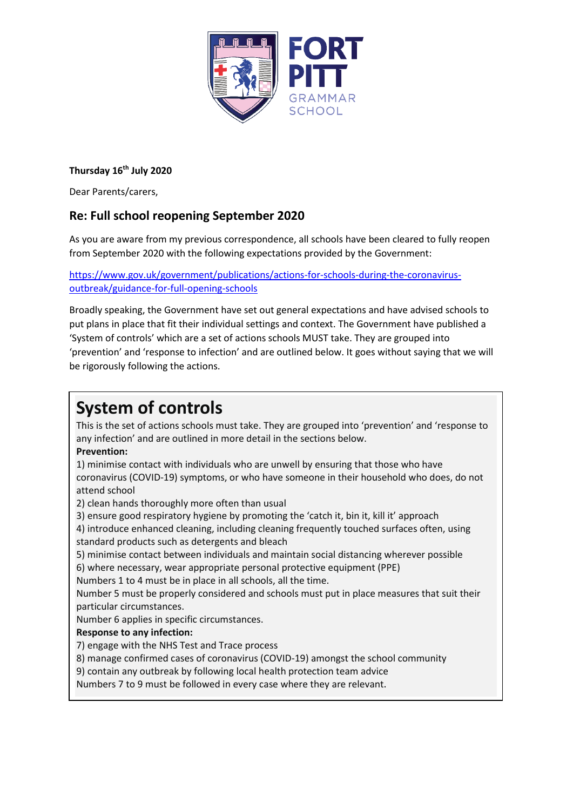

#### **Thursday 16th July 2020**

Dear Parents/carers,

# **Re: Full school reopening September 2020**

As you are aware from my previous correspondence, all schools have been cleared to fully reopen from September 2020 with the following expectations provided by the Government:

[https://www.gov.uk/government/publications/actions-for-schools-during-the-coronavirus](https://www.gov.uk/government/publications/actions-for-schools-during-the-coronavirus-outbreak/guidance-for-full-opening-schools)[outbreak/guidance-for-full-opening-schools](https://www.gov.uk/government/publications/actions-for-schools-during-the-coronavirus-outbreak/guidance-for-full-opening-schools)

Broadly speaking, the Government have set out general expectations and have advised schools to put plans in place that fit their individual settings and context. The Government have published a 'System of controls' which are a set of actions schools MUST take. They are grouped into 'prevention' and 'response to infection' and are outlined below. It goes without saying that we will be rigorously following the actions.

# **System of controls**

This is the set of actions schools must take. They are grouped into 'prevention' and 'response to any infection' and are outlined in more detail in the sections below.

#### **Prevention:**

1) minimise contact with individuals who are unwell by ensuring that those who have coronavirus (COVID-19) symptoms, or who have someone in their household who does, do not attend school

2) clean hands thoroughly more often than usual

3) ensure good respiratory hygiene by promoting the 'catch it, bin it, kill it' approach

4) introduce enhanced cleaning, including cleaning frequently touched surfaces often, using standard products such as detergents and bleach

5) minimise contact between individuals and maintain social distancing wherever possible

6) where necessary, wear appropriate personal protective equipment (PPE)

Numbers 1 to 4 must be in place in all schools, all the time.

Number 5 must be properly considered and schools must put in place measures that suit their particular circumstances.

Number 6 applies in specific circumstances.

#### **Response to any infection:**

7) engage with the NHS Test and Trace process

8) manage confirmed cases of coronavirus (COVID-19) amongst the school community

9) contain any outbreak by following local health protection team advice

Numbers 7 to 9 must be followed in every case where they are relevant.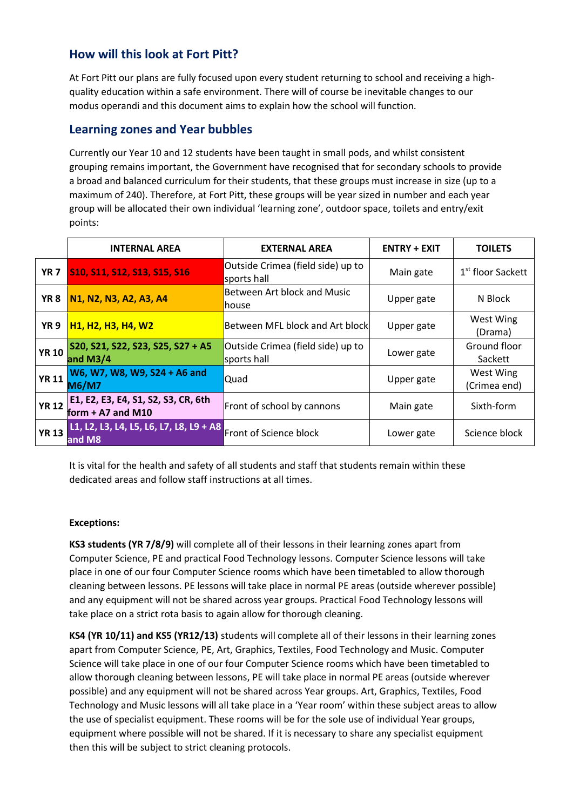# **How will this look at Fort Pitt?**

At Fort Pitt our plans are fully focused upon every student returning to school and receiving a highquality education within a safe environment. There will of course be inevitable changes to our modus operandi and this document aims to explain how the school will function.

#### **Learning zones and Year bubbles**

Currently our Year 10 and 12 students have been taught in small pods, and whilst consistent grouping remains important, the Government have recognised that for secondary schools to provide a broad and balanced curriculum for their students, that these groups must increase in size (up to a maximum of 240). Therefore, at Fort Pitt, these groups will be year sized in number and each year group will be allocated their own individual 'learning zone', outdoor space, toilets and entry/exit points:

|                 | <b>INTERNAL AREA</b>                                                               | <b>EXTERNAL AREA</b>                             | <b>ENTRY + EXIT</b> | <b>TOILETS</b>                |
|-----------------|------------------------------------------------------------------------------------|--------------------------------------------------|---------------------|-------------------------------|
| YR <sub>7</sub> | <b>S10, S11, S12, S13, S15, S16</b>                                                | Outside Crimea (field side) up to<br>sports hall | Main gate           | 1 <sup>st</sup> floor Sackett |
| YR 8            | N1, N2, N3, A2, A3, A4                                                             | Between Art block and Music<br><b>house</b>      | Upper gate          | N Block                       |
| YR <sub>9</sub> | H <sub>1</sub> , H <sub>2</sub> , H <sub>3</sub> , H <sub>4</sub> , W <sub>2</sub> | Between MFL block and Art block                  | Upper gate          | West Wing<br>(Drama)          |
| <b>YR 10</b>    | S20, S21, S22, S23, S25, S27 + A5<br>and $M3/4$                                    | Outside Crimea (field side) up to<br>sports hall | Lower gate          | Ground floor<br>Sackett       |
| <b>YR 11</b>    | W6, W7, W8, W9, S24 + A6 and<br><b>M6/M7</b>                                       | Quad                                             | Upper gate          | West Wing<br>(Crimea end)     |
| <b>YR 12</b>    | E1, E2, E3, E4, S1, S2, S3, CR, 6th<br>form $+$ A7 and M10                         | Front of school by cannons                       | Main gate           | Sixth-form                    |
| <b>YR 13</b>    | L1, L2, L3, L4, L5, L6, L7, L8, L9 + A8<br>and M8                                  | Front of Science block                           | Lower gate          | Science block                 |

It is vital for the health and safety of all students and staff that students remain within these dedicated areas and follow staff instructions at all times.

#### **Exceptions:**

**KS3 students (YR 7/8/9)** will complete all of their lessons in their learning zones apart from Computer Science, PE and practical Food Technology lessons. Computer Science lessons will take place in one of our four Computer Science rooms which have been timetabled to allow thorough cleaning between lessons. PE lessons will take place in normal PE areas (outside wherever possible) and any equipment will not be shared across year groups. Practical Food Technology lessons will take place on a strict rota basis to again allow for thorough cleaning.

**KS4 (YR 10/11) and KS5 (YR12/13)** students will complete all of their lessons in their learning zones apart from Computer Science, PE, Art, Graphics, Textiles, Food Technology and Music. Computer Science will take place in one of our four Computer Science rooms which have been timetabled to allow thorough cleaning between lessons, PE will take place in normal PE areas (outside wherever possible) and any equipment will not be shared across Year groups. Art, Graphics, Textiles, Food Technology and Music lessons will all take place in a 'Year room' within these subject areas to allow the use of specialist equipment. These rooms will be for the sole use of individual Year groups, equipment where possible will not be shared. If it is necessary to share any specialist equipment then this will be subject to strict cleaning protocols.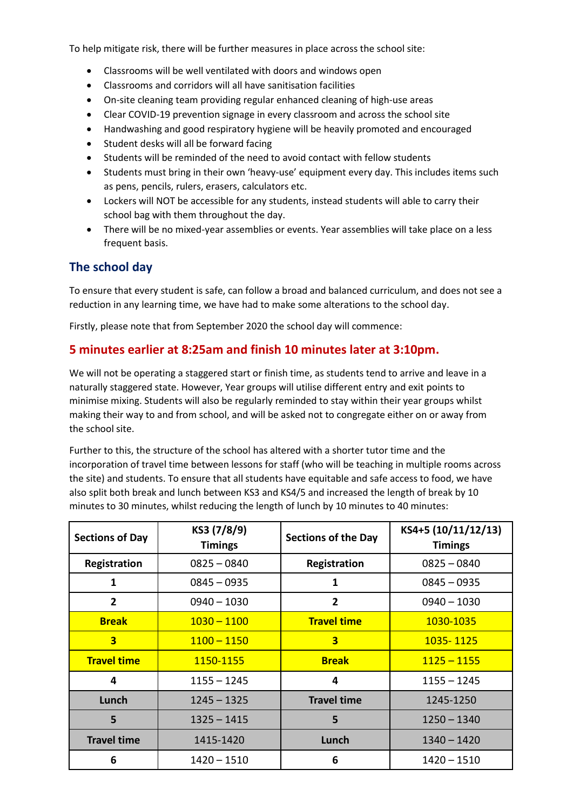To help mitigate risk, there will be further measures in place across the school site:

- Classrooms will be well ventilated with doors and windows open
- Classrooms and corridors will all have sanitisation facilities
- On-site cleaning team providing regular enhanced cleaning of high-use areas
- Clear COVID-19 prevention signage in every classroom and across the school site
- Handwashing and good respiratory hygiene will be heavily promoted and encouraged
- Student desks will all be forward facing
- Students will be reminded of the need to avoid contact with fellow students
- Students must bring in their own 'heavy-use' equipment every day. This includes items such as pens, pencils, rulers, erasers, calculators etc.
- Lockers will NOT be accessible for any students, instead students will able to carry their school bag with them throughout the day.
- There will be no mixed-year assemblies or events. Year assemblies will take place on a less frequent basis.

#### **The school day**

To ensure that every student is safe, can follow a broad and balanced curriculum, and does not see a reduction in any learning time, we have had to make some alterations to the school day.

Firstly, please note that from September 2020 the school day will commence:

# **5 minutes earlier at 8:25am and finish 10 minutes later at 3:10pm.**

We will not be operating a staggered start or finish time, as students tend to arrive and leave in a naturally staggered state. However, Year groups will utilise different entry and exit points to minimise mixing. Students will also be regularly reminded to stay within their year groups whilst making their way to and from school, and will be asked not to congregate either on or away from the school site.

Further to this, the structure of the school has altered with a shorter tutor time and the incorporation of travel time between lessons for staff (who will be teaching in multiple rooms across the site) and students. To ensure that all students have equitable and safe access to food, we have also split both break and lunch between KS3 and KS4/5 and increased the length of break by 10 minutes to 30 minutes, whilst reducing the length of lunch by 10 minutes to 40 minutes:

| <b>Sections of Day</b>  | KS3 (7/8/9)<br><b>Sections of the Day</b><br><b>Timings</b> |                         | KS4+5 (10/11/12/13)<br><b>Timings</b> |
|-------------------------|-------------------------------------------------------------|-------------------------|---------------------------------------|
| Registration            | $0825 - 0840$                                               | Registration            | $0825 - 0840$                         |
| 1                       | $0845 - 0935$                                               | 1                       | $0845 - 0935$                         |
| $\overline{2}$          | $0940 - 1030$                                               | $\overline{2}$          | $0940 - 1030$                         |
| <b>Break</b>            | $1030 - 1100$                                               | <b>Travel time</b>      | 1030-1035                             |
| $\overline{\mathbf{3}}$ | $1100 - 1150$                                               | $\overline{\mathbf{3}}$ | 1035-1125                             |
| <b>Travel time</b>      | 1150-1155                                                   | <b>Break</b>            | $1125 - 1155$                         |
| 4                       | $1155 - 1245$                                               | 4                       | $1155 - 1245$                         |
| Lunch                   | $1245 - 1325$                                               | <b>Travel time</b>      | 1245-1250                             |
| 5                       | 5<br>$1325 - 1415$                                          |                         | $1250 - 1340$                         |
| <b>Travel time</b>      | 1415-1420                                                   | Lunch                   | $1340 - 1420$                         |
| 6                       | $1420 - 1510$                                               | 6                       | $1420 - 1510$                         |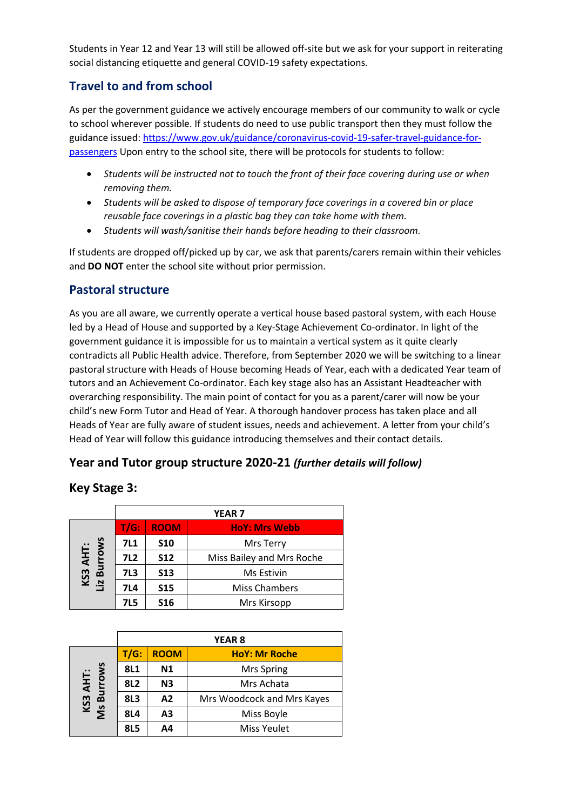Students in Year 12 and Year 13 will still be allowed off-site but we ask for your support in reiterating social distancing etiquette and general COVID-19 safety expectations.

# **Travel to and from school**

As per the government guidance we actively encourage members of our community to walk or cycle to school wherever possible. If students do need to use public transport then they must follow the guidance issued[: https://www.gov.uk/guidance/coronavirus-covid-19-safer-travel-guidance-for](https://www.gov.uk/guidance/coronavirus-covid-19-safer-travel-guidance-for-passengers)[passengers](https://www.gov.uk/guidance/coronavirus-covid-19-safer-travel-guidance-for-passengers) Upon entry to the school site, there will be protocols for students to follow:

- *Students will be instructed not to touch the front of their face covering during use or when removing them.*
- *Students will be asked to dispose of temporary face coverings in a covered bin or place reusable face coverings in a plastic bag they can take home with them.*
- *Students will wash/sanitise their hands before heading to their classroom.*

If students are dropped off/picked up by car, we ask that parents/carers remain within their vehicles and **DO NOT** enter the school site without prior permission.

# **Pastoral structure**

As you are all aware, we currently operate a vertical house based pastoral system, with each House led by a Head of House and supported by a Key-Stage Achievement Co-ordinator. In light of the government guidance it is impossible for us to maintain a vertical system as it quite clearly contradicts all Public Health advice. Therefore, from September 2020 we will be switching to a linear pastoral structure with Heads of House becoming Heads of Year, each with a dedicated Year team of tutors and an Achievement Co-ordinator. Each key stage also has an Assistant Headteacher with overarching responsibility. The main point of contact for you as a parent/carer will now be your child's new Form Tutor and Head of Year. A thorough handover process has taken place and all Heads of Year are fully aware of student issues, needs and achievement. A letter from your child's Head of Year will follow this guidance introducing themselves and their contact details.

### **Year and Tutor group structure 2020-21** *(further details will follow)*

#### **Key Stage 3:**

|                        | <b>YEAR7</b> |             |                           |
|------------------------|--------------|-------------|---------------------------|
|                        | $T/G$ :      | <b>ROOM</b> | <b>HoY: Mrs Webb</b>      |
|                        | <b>7L1</b>   | <b>S10</b>  | Mrs Terry                 |
| KS3 AHT:<br>iz Burrows | <b>7L2</b>   | <b>S12</b>  | Miss Bailey and Mrs Roche |
|                        | <b>7L3</b>   | <b>S13</b>  | Ms Estivin                |
| Li                     | <b>7L4</b>   | <b>S15</b>  | <b>Miss Chambers</b>      |
|                        | <b>7L5</b>   | <b>S16</b>  | Mrs Kirsopp               |

|                        | <b>YEAR 8</b> |                |                            |
|------------------------|---------------|----------------|----------------------------|
|                        | $T/G$ :       | <b>ROOM</b>    | <b>HoY: Mr Roche</b>       |
|                        | <b>8L1</b>    | N <sub>1</sub> | <b>Mrs Spring</b>          |
|                        | <b>8L2</b>    | N <sub>3</sub> | Mrs Achata                 |
| KS3 AHT:<br>1s Burrows | 8L3           | A2             | Mrs Woodcock and Mrs Kayes |
| Š                      | <b>8L4</b>    | A3             | Miss Boyle                 |
|                        | <b>8L5</b>    | A4             | <b>Miss Yeulet</b>         |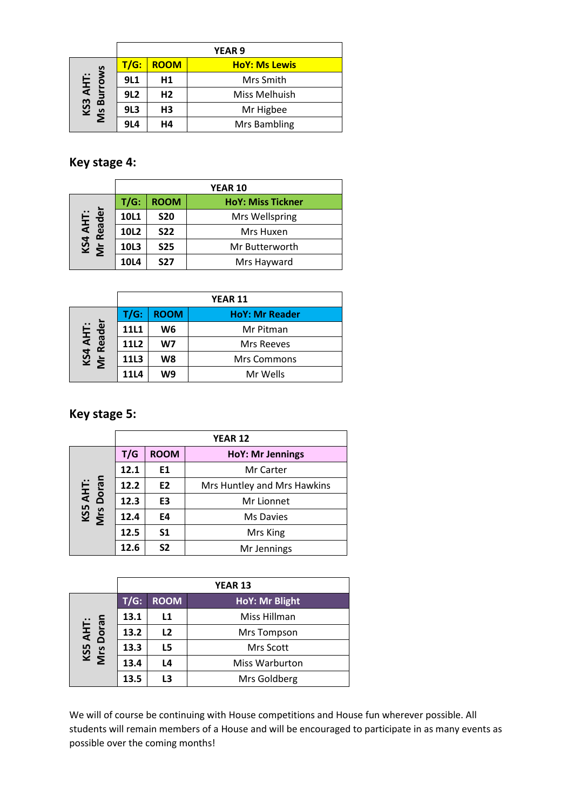|                        | <b>YEAR 9</b> |                |                      |
|------------------------|---------------|----------------|----------------------|
|                        | T/G:          | <b>ROOM</b>    | <b>HoY: Ms Lewis</b> |
| KS3 AHT:<br>1s Burrows | 9L1           | H1             | Mrs Smith            |
|                        | <b>9L2</b>    | H <sub>2</sub> | Miss Melhuish        |
| Š                      | <b>9L3</b>    | H <sub>3</sub> | Mr Higbee            |
|                        | <b>9L4</b>    | Η4             | Mrs Bambling         |

**Key stage 4:**

|                       | <b>YEAR 10</b> |             |                          |
|-----------------------|----------------|-------------|--------------------------|
|                       | $T/G$ :        | <b>ROOM</b> | <b>HoY: Miss Tickner</b> |
|                       | 10L1           | <b>S20</b>  | Mrs Wellspring           |
| KS4 AHT:<br>Mr Reader | <b>10L2</b>    | <b>S22</b>  | Mrs Huxen                |
|                       | 10L3           | <b>S25</b>  | Mr Butterworth           |
|                       | 10L4           | <b>S27</b>  | Mrs Hayward              |

|                       | <b>YEAR 11</b> |                |                       |
|-----------------------|----------------|----------------|-----------------------|
|                       | $T/G$ :        | <b>ROOM</b>    | <b>HoY: Mr Reader</b> |
| KS4 AHT:<br>Mr Reader | <b>11L1</b>    | W <sub>6</sub> | Mr Pitman             |
|                       | <b>11L2</b>    | W <sub>7</sub> | <b>Mrs Reeves</b>     |
|                       | <b>11L3</b>    | W8             | <b>Mrs Commons</b>    |
|                       | <b>11L4</b>    | W <sub>9</sub> | Mr Wells              |

**Key stage 5:**

|                       | <b>YEAR 12</b> |                |                             |  |
|-----------------------|----------------|----------------|-----------------------------|--|
|                       | T/G            | <b>ROOM</b>    | <b>HoY: Mr Jennings</b>     |  |
|                       | 12.1           | E1             | Mr Carter                   |  |
|                       | 12.2           | E <sub>2</sub> | Mrs Huntley and Mrs Hawkins |  |
|                       | 12.3           | E <sub>3</sub> | Mr Lionnet                  |  |
| KS5 AHT:<br>Mrs Doran | 12.4           | E4             | Ms Davies                   |  |
|                       | 12.5           | <b>S1</b>      | Mrs King                    |  |
|                       | 12.6           | S <sub>2</sub> | Mr Jennings                 |  |

|                       | <b>YEAR 13</b> |             |                  |
|-----------------------|----------------|-------------|------------------|
|                       | $T/G$ :        | <b>ROOM</b> | HoY: Mr Blight   |
|                       | 13.1           | L1          | Miss Hillman     |
|                       | 13.2           | L2          | Mrs Tompson      |
| KS5 AHT:<br>Mrs Doran | 13.3           | L5          | <b>Mrs Scott</b> |
|                       | 13.4           | L4          | Miss Warburton   |
|                       | 13.5           | L3          | Mrs Goldberg     |

We will of course be continuing with House competitions and House fun wherever possible. All students will remain members of a House and will be encouraged to participate in as many events as possible over the coming months!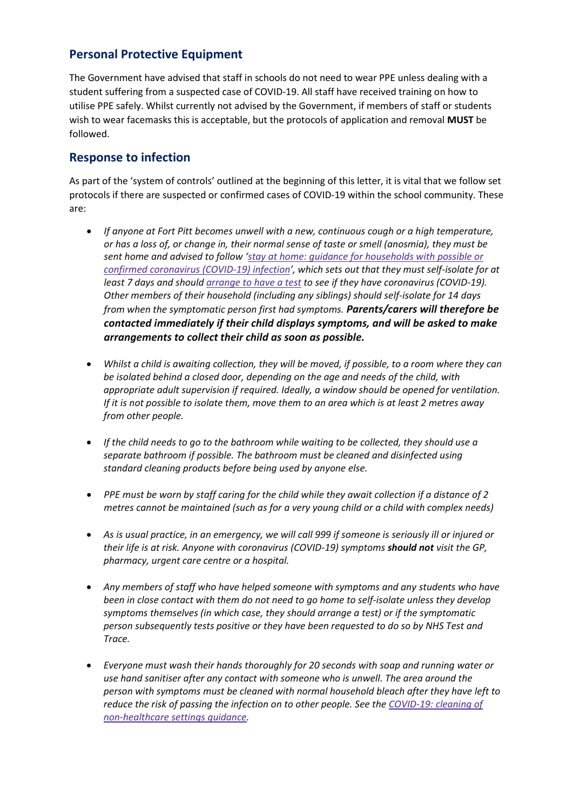# **Personal Protective Equipment**

The Government have advised that staff in schools do not need to wear PPE unless dealing with a student suffering from a suspected case of COVID-19. All staff have received training on how to utilise PPE safely. Whilst currently not advised by the Government, if members of staff or students wish to wear facemasks this is acceptable, but the protocols of application and removal **MUST** be followed.

### **Response to infection**

As part of the 'system of controls' outlined at the beginning of this letter, it is vital that we follow set protocols if there are suspected or confirmed cases of COVID-19 within the school community. These are:

- *If anyone at Fort Pitt becomes unwell with a new, continuous cough or a high temperature, or has a loss of, or change in, their normal sense of taste or smell (anosmia), they must be sent home and advised to follow 'stay at home: guidance for [households](https://www.gov.uk/government/publications/covid-19-stay-at-home-guidance) with possible or confirmed [coronavirus](https://www.gov.uk/government/publications/covid-19-stay-at-home-guidance) (COVID-19) infection', which sets out that they must self-isolate for at least 7 days and should [arrange](https://www.gov.uk/guidance/coronavirus-covid-19-getting-tested) to have a test to see if they have coronavirus (COVID-19). Other members of their household (including any siblings) should self-isolate for 14 days from when the symptomatic person first had symptoms. Parents/carers will therefore be contacted immediately if their child displays symptoms, and will be asked to make arrangements to collect their child as soon as possible.*
- *Whilst a child is awaiting collection, they will be moved, if possible, to a room where they can be isolated behind a closed door, depending on the age and needs of the child, with appropriate adult supervision if required. Ideally, a window should be opened for ventilation. If it is not possible to isolate them, move them to an area which is at least 2 metres away from other people.*
- *If the child needs to go to the bathroom while waiting to be collected, they should use a separate bathroom if possible. The bathroom must be cleaned and disinfected using standard cleaning products before being used by anyone else.*
- *PPE must be worn by staff caring for the child while they await collection if a distance of 2 metres cannot be maintained (such as for a very young child or a child with complex needs)*
- *As is usual practice, in an emergency, we will call 999 if someone is seriously ill or injured or their life is at risk. Anyone with coronavirus (COVID-19) symptoms should not visit the GP, pharmacy, urgent care centre or a hospital.*
- Any members of staff who have helped someone with symptoms and any students who have *been in close contact with them do not need to go home to self-isolate unless they develop symptoms themselves (in which case, they should arrange a test) or if the symptomatic person subsequently tests positive or they have been requested to do so by NHS Test and Trace.*
- *Everyone must wash their hands thoroughly for 20 seconds with soap and running water or use hand sanitiser after any contact with someone who is unwell. The area around the person with symptoms must be cleaned with normal household bleach after they have left to reduce the risk of passing the infection on to other people. See the [COVID-19:](https://www.gov.uk/government/publications/covid-19-decontamination-in-non-healthcare-settings) cleaning of [non-healthcare](https://www.gov.uk/government/publications/covid-19-decontamination-in-non-healthcare-settings) settings guidance.*